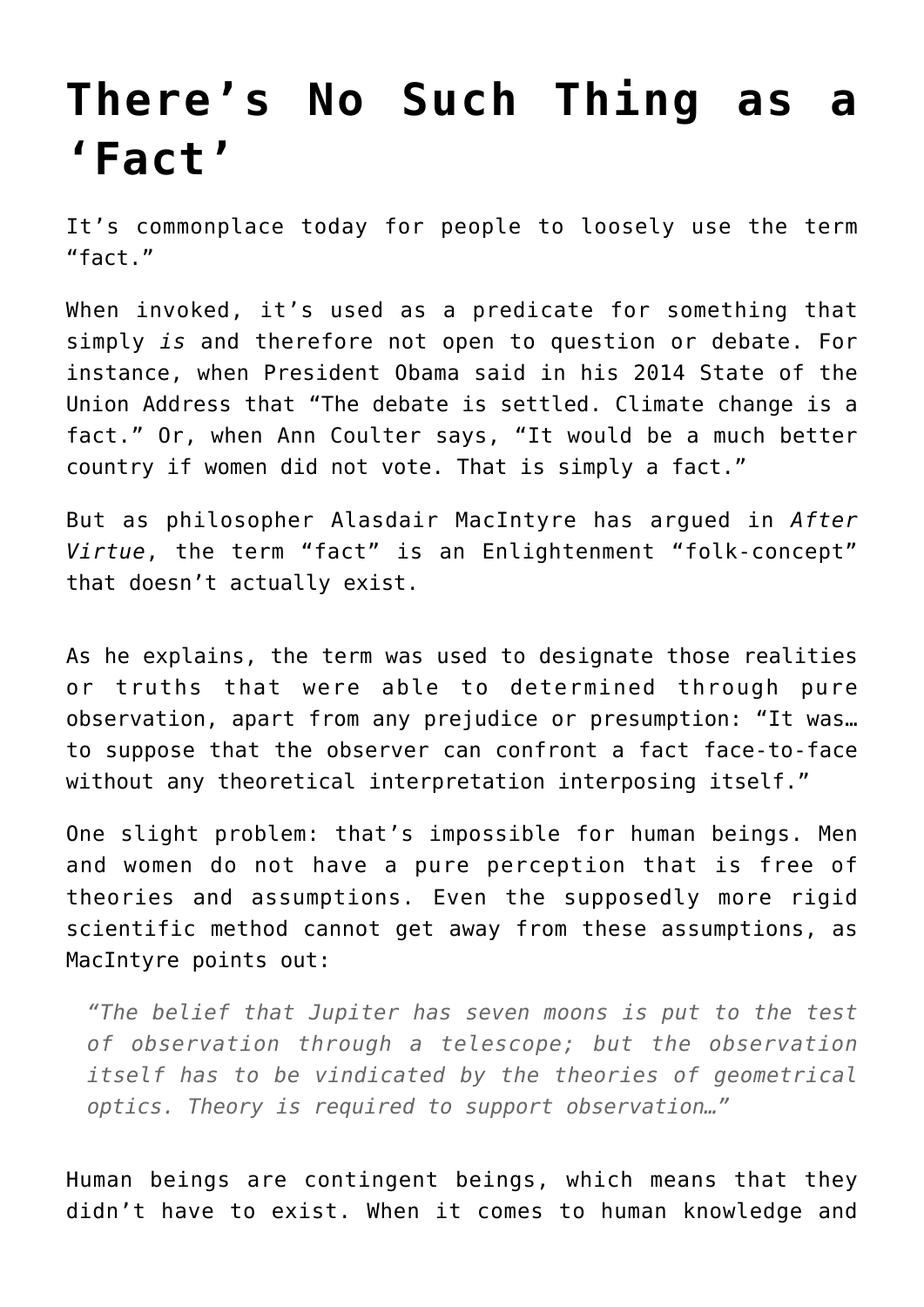## **[There's No Such Thing as a](https://intellectualtakeout.org/2016/01/theres-no-such-thing-as-a-fact/) ['Fact'](https://intellectualtakeout.org/2016/01/theres-no-such-thing-as-a-fact/)**

It's commonplace today for people to loosely use the term "fact."

When invoked, it's used as a predicate for something that simply *is* and therefore not open to question or debate. For instance, when President Obama said in his 2014 State of the Union Address that "The debate is settled. Climate change is a fact." Or, when Ann Coulter says, "It would be a much better country if women did not vote. That is simply a fact."

But as philosopher Alasdair MacIntyre has argued in *After Virtue*, the term "fact" is an Enlightenment "folk-concept" that doesn't actually exist.

As he explains, the term was used to designate those realities or truths that were able to determined through pure observation, apart from any prejudice or presumption: "It was… to suppose that the observer can confront a fact face-to-face without any theoretical interpretation interposing itself."

One slight problem: that's impossible for human beings. Men and women do not have a pure perception that is free of theories and assumptions. Even the supposedly more rigid scientific method cannot get away from these assumptions, as MacIntyre points out:

*"The belief that Jupiter has seven moons is put to the test of observation through a telescope; but the observation itself has to be vindicated by the theories of geometrical optics. Theory is required to support observation…"*

Human beings are contingent beings, which means that they didn't have to exist. When it comes to human knowledge and